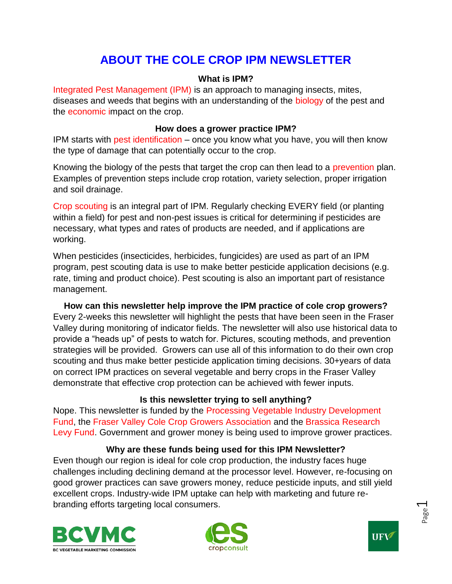# **ABOUT THE COLE CROP IPM NEWSLETTER**

### **What is IPM?**

Integrated Pest Management (IPM) is an approach to managing insects, mites, diseases and weeds that begins with an understanding of the biology of the pest and the economic impact on the crop.

#### **How does a grower practice IPM?**

IPM starts with pest identification – once you know what you have, you will then know the type of damage that can potentially occur to the crop.

Knowing the biology of the pests that target the crop can then lead to a prevention plan. Examples of prevention steps include crop rotation, variety selection, proper irrigation and soil drainage.

Crop scouting is an integral part of IPM. Regularly checking EVERY field (or planting within a field) for pest and non-pest issues is critical for determining if pesticides are necessary, what types and rates of products are needed, and if applications are working.

When pesticides (insecticides, herbicides, fungicides) are used as part of an IPM program, pest scouting data is use to make better pesticide application decisions (e.g. rate, timing and product choice). Pest scouting is also an important part of resistance management.

### **How can this newsletter help improve the IPM practice of cole crop growers?** Every 2-weeks this newsletter will highlight the pests that have been seen in the Fraser Valley during monitoring of indicator fields. The newsletter will also use historical data to provide a "heads up" of pests to watch for. Pictures, scouting methods, and prevention strategies will be provided. Growers can use all of this information to do their own crop scouting and thus make better pesticide application timing decisions. 30+years of data on correct IPM practices on several vegetable and berry crops in the Fraser Valley demonstrate that effective crop protection can be achieved with fewer inputs.

### **Is this newsletter trying to sell anything?**

Nope. This newsletter is funded by the Processing Vegetable Industry Development Fund, the Fraser Valley Cole Crop Growers Association and the Brassica Research Levy Fund. Government and grower money is being used to improve grower practices.

### **Why are these funds being used for this IPM Newsletter?**

Even though our region is ideal for cole crop production, the industry faces huge challenges including declining demand at the processor level. However, re-focusing on good grower practices can save growers money, reduce pesticide inputs, and still yield excellent crops. Industry-wide IPM uptake can help with marketing and future rebranding efforts targeting local consumers.







Page  $\overline{\phantom{0}}$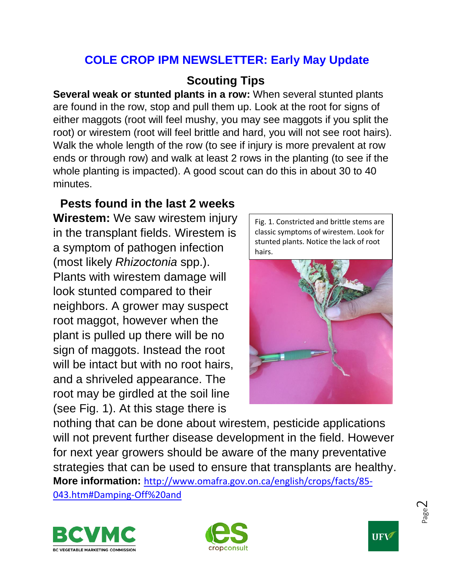# **COLE CROP IPM NEWSLETTER: Early May Update**

# **Scouting Tips**

**Several weak or stunted plants in a row:** When several stunted plants are found in the row, stop and pull them up. Look at the root for signs of either maggots (root will feel mushy, you may see maggots if you split the root) or wirestem (root will feel brittle and hard, you will not see root hairs). Walk the whole length of the row (to see if injury is more prevalent at row ends or through row) and walk at least 2 rows in the planting (to see if the whole planting is impacted). A good scout can do this in about 30 to 40 minutes.

# **Pests found in the last 2 weeks**

**Wirestem:** We saw wirestem injury in the transplant fields. Wirestem is a symptom of pathogen infection (most likely *Rhizoctonia* spp.). Plants with wirestem damage will look stunted compared to their neighbors. A grower may suspect root maggot, however when the plant is pulled up there will be no sign of maggots. Instead the root will be intact but with no root hairs, and a shriveled appearance. The root may be girdled at the soil line (see Fig. 1). At this stage there is

Fig. 1. Constricted and brittle stems are classic symptoms of wirestem. Look for stunted plants. Notice the lack of root hairs.



nothing that can be done about wirestem, pesticide applications will not prevent further disease development in the field. However for next year growers should be aware of the many preventative strategies that can be used to ensure that transplants are healthy. **More information:** [http://www.omafra.gov.on.ca/english/crops/facts/85-](http://www.omafra.gov.on.ca/english/crops/facts/85-043.htm#Damping-Off%20and) [043.htm#Damping-Off%20and](http://www.omafra.gov.on.ca/english/crops/facts/85-043.htm#Damping-Off%20and)







Page  $\mathrel{\sim}$